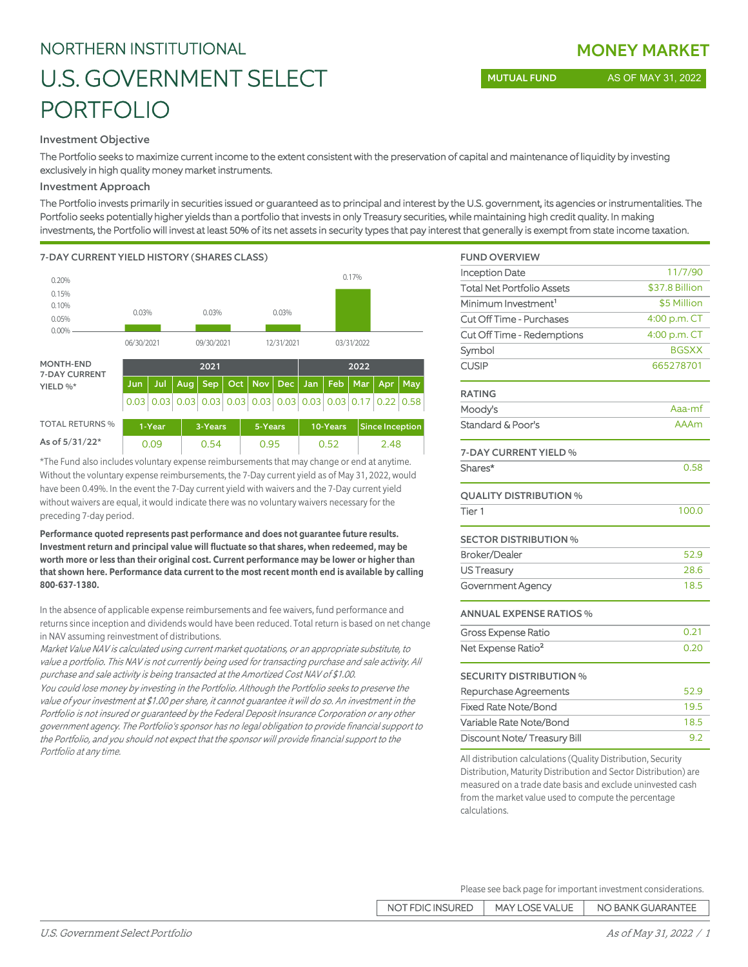#### Investment Objective

The Portfolio seeks to maximize current income to the extent consistent with the preservation of capital and maintenance of liquidity by investing exclusively in high quality money market instruments.

#### Investment Approach

The Portfolio invests primarily in securities issued or guaranteed as to principal and interest by the U.S. government, its agencies or instrumentalities. The Portfolio seeks potentially higher yields than a portfolio that invests in only Treasury securities, while maintaining high credit quality. In making investments, the Portfolio will invest at least 50% of its net assets in security types that pay interest that generally is exempt from state income taxation.

7-DAY CURRENT YIELD HISTORY (SHARES CLASS)



\*The Fund also includes voluntary expense reimbursements that may change or end at anytime. Without the voluntary expense reimbursements, the 7-Day current yield as of May 31, 2022, would have been 0.49%. In the event the 7-Day current yield with waivers and the 7-Day current yield without waivers are equal, it would indicate there was no voluntary waivers necessary for the preceding 7-day period.

**Performance quoted represents past performance and does not guarantee future results. Investment return and principal value will fluctuate so that shares, when redeemed, may be worth more or less than their original cost. Current performance may be lower or higher than that shown here. Performance data current to the most recent month end is available by calling 800-637-1380.**

In the absence of applicable expense reimbursements and fee waivers, fund performance and returns since inception and dividends would have been reduced. Total return is based on net change in NAV assuming reinvestment of distributions.

Market Value NAV is calculated using current market quotations, or an appropriate substitute, to value a portfolio. This NAV is not currently being used for transacting purchase and sale activity. All purchase and sale activity is being transacted at the Amortized Cost NAV of \$1.00.

You could lose money by investing in the Portfolio. Although the Portfolio seeks to preserve the value of your investment at \$1.00 per share, it cannot guarantee it will do so. An investment in the Portfolio is not insured or guaranteed by the Federal Deposit Insurance Corporation or any other government agency. The Portfolio's sponsor has no legal obligation to provide financial support to the Portfolio, and you should not expect that the sponsor will provide financial support to the Portfolio at any time.

| <b>FUND OVERVIEW</b>              |                |
|-----------------------------------|----------------|
| <b>Inception Date</b>             | 11/7/90        |
| <b>Total Net Portfolio Assets</b> | \$37.8 Billion |
| Minimum Investment <sup>1</sup>   | \$5 Million    |
| Cut Off Time - Purchases          | 4:00 p.m. CT   |
| Cut Off Time - Redemptions        | 4:00 p.m. CT   |
| Symbol                            | <b>BGSXX</b>   |
| <b>CUSIP</b>                      | 665278701      |
| <b>RATING</b>                     |                |
| Moody's                           | Aaa-mf         |
| Standard & Poor's                 | <b>AAAm</b>    |
| 7-DAY CURRENT YIELD %             |                |
| Shares*                           | 0.58           |
| <b>QUALITY DISTRIBUTION %</b>     |                |
| Tier <sub>1</sub>                 | 100.0          |
| <b>SECTOR DISTRIBUTION %</b>      |                |
| <b>Broker/Dealer</b>              | 52.9           |
| US Treasury                       | 28.6           |
| Government Agency                 | 18.5           |
| <b>ANNUAL EXPENSE RATIOS %</b>    |                |
| <b>Gross Expense Ratio</b>        | 0.21           |
| Net Expense Ratio <sup>2</sup>    | 0.20           |
| <b>SECURITY DISTRIBUTION %</b>    |                |
| Repurchase Agreements             | 52.9           |
| <b>Fixed Rate Note/Bond</b>       | 19.5           |
| Variable Rate Note/Bond           | 18.5           |
| Discount Note/Treasury Bill       | 9.2            |

All distribution calculations (Quality Distribution, Security Distribution, Maturity Distribution and Sector Distribution) are measured on a trade date basis and exclude uninvested cash from the market value used to compute the percentage calculations.

Please see back page for important investment considerations.

| NO BANK GUARANTEE<br><b>MAY LOSE VALUE</b><br>NOT FDIC INSURED |
|----------------------------------------------------------------|
|----------------------------------------------------------------|

## MONEY MARKET

MUTUAL FUND AS OF MAY 31, 2022